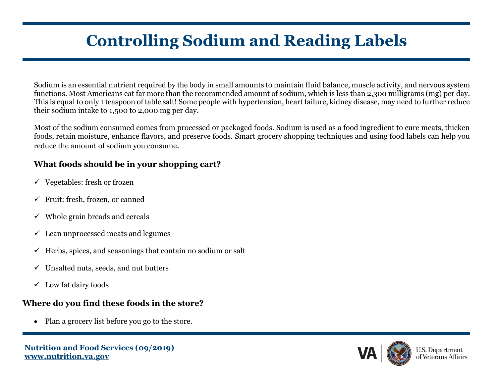# **Controlling Sodium and Reading Labels**

Sodium is an essential nutrient required by the body in small amounts to maintain fluid balance, muscle activity, and nervous system functions. Most Americans eat far more than the recommended amount of sodium, which is less than 2,300 milligrams (mg) per day. This is equal to only 1 teaspoon of table salt! Some people with hypertension, heart failure, kidney disease, may need to further reduce their sodium intake to 1,500 to 2,000 mg per day.

Most of the sodium consumed comes from processed or packaged foods. Sodium is used as a food ingredient to cure meats, thicken foods, retain moisture, enhance flavors, and preserve foods. Smart grocery shopping techniques and using food labels can help you reduce the amount of sodium you consume.

## **What foods should be in your shopping cart?**

- $\checkmark$  Vegetables: fresh or frozen
- $\checkmark$  Fruit: fresh, frozen, or canned
- $\checkmark$  Whole grain breads and cereals
- $\checkmark$  Lean unprocessed meats and legumes
- $\checkmark$  Herbs, spices, and seasonings that contain no sodium or salt
- $\checkmark$  Unsalted nuts, seeds, and nut butters
- $\checkmark$  Low fat dairy foods

## **Where do you find these foods in the store?**

• Plan a grocery list before you go to the store.

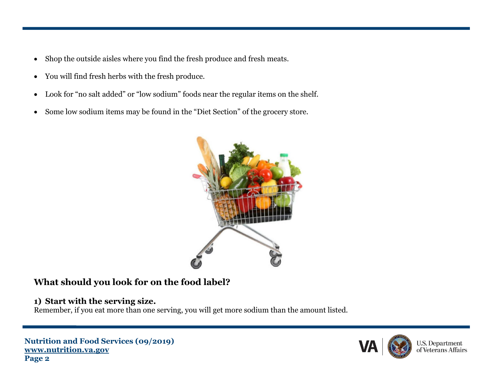- Shop the outside aisles where you find the fresh produce and fresh meats.
- You will find fresh herbs with the fresh produce.
- Look for "no salt added" or "low sodium" foods near the regular items on the shelf.
- Some low sodium items may be found in the "Diet Section" of the grocery store.



## **What should you look for on the food label?**

### **1) Start with the serving size.**

Remember, if you eat more than one serving, you will get more sodium than the amount listed.

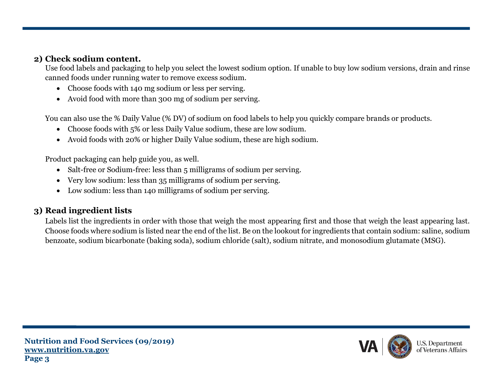#### **2) Check sodium content.**

Use food labels and packaging to help you select the lowest sodium option. If unable to buy low sodium versions, drain and rinse canned foods under running water to remove excess sodium.

- Choose foods with 140 mg sodium or less per serving.
- Avoid food with more than 300 mg of sodium per serving.

You can also use the % Daily Value (% DV) of sodium on food labels to help you quickly compare brands or products.

- Choose foods with 5% or less Daily Value sodium, these are low sodium.
- Avoid foods with 20% or higher Daily Value sodium, these are high sodium.

Product packaging can help guide you, as well.

- Salt-free or Sodium-free: less than 5 milligrams of sodium per serving.
- Very low sodium: less than 35 milligrams of sodium per serving.
- Low sodium: less than 140 milligrams of sodium per serving.

## **3) Read ingredient lists**

Labels list the ingredients in order with those that weigh the most appearing first and those that weigh the least appearing last. Choose foods where sodium is listed near the end of the list. Be on the lookout for ingredients that contain sodium: saline, sodium benzoate, sodium bicarbonate (baking soda), sodium chloride (salt), sodium nitrate, and monosodium glutamate (MSG).